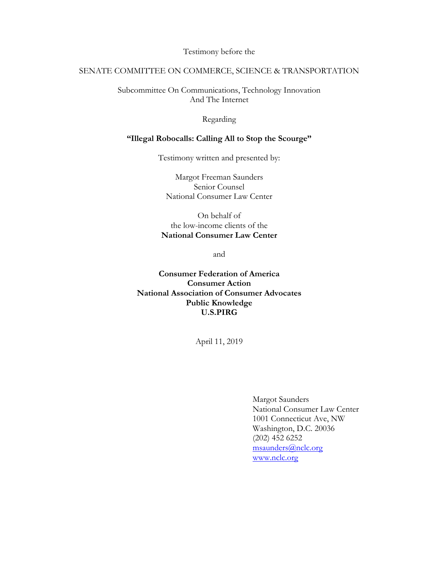Testimony before the

## SENATE COMMITTEE ON COMMERCE, SCIENCE & TRANSPORTATION

Subcommittee On Communications, Technology Innovation And The Internet

### Regarding

#### **"Illegal Robocalls: Calling All to Stop the Scourge"**

Testimony written and presented by:

Margot Freeman Saunders Senior Counsel National Consumer Law Center

On behalf of the low-income clients of the **National Consumer Law Center**

and

**Consumer Federation of America Consumer Action National Association of Consumer Advocates Public Knowledge U.S.PIRG**

April 11, 2019

Margot Saunders National Consumer Law Center 1001 Connecticut Ave, NW Washington, D.C. 20036 (202) 452 6252 msaunders@nclc.org www.nclc.org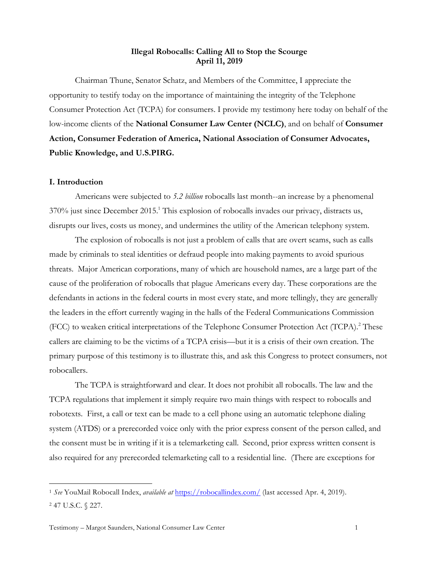### **Illegal Robocalls: Calling All to Stop the Scourge April 11, 2019**

Chairman Thune, Senator Schatz, and Members of the Committee, I appreciate the opportunity to testify today on the importance of maintaining the integrity of the Telephone Consumer Protection Act (TCPA) for consumers. I provide my testimony here today on behalf of the low-income clients of the **National Consumer Law Center (NCLC)**, and on behalf of **Consumer Action, Consumer Federation of America, National Association of Consumer Advocates, Public Knowledge, and U.S.PIRG.**

#### **I. Introduction**

Americans were subjected to *5.2 billion* robocalls last month--an increase by a phenomenal  $370\%$  just since December 2015.<sup>1</sup> This explosion of robocalls invades our privacy, distracts us, disrupts our lives, costs us money, and undermines the utility of the American telephony system.

The explosion of robocalls is not just a problem of calls that are overt scams, such as calls made by criminals to steal identities or defraud people into making payments to avoid spurious threats. Major American corporations, many of which are household names, are a large part of the cause of the proliferation of robocalls that plague Americans every day. These corporations are the defendants in actions in the federal courts in most every state, and more tellingly, they are generally the leaders in the effort currently waging in the halls of the Federal Communications Commission (FCC) to weaken critical interpretations of the Telephone Consumer Protection Act (TCPA).<sup>2</sup> These callers are claiming to be the victims of a TCPA crisis—but it is a crisis of their own creation. The primary purpose of this testimony is to illustrate this, and ask this Congress to protect consumers, not robocallers.

The TCPA is straightforward and clear. It does not prohibit all robocalls. The law and the TCPA regulations that implement it simply require two main things with respect to robocalls and robotexts. First, a call or text can be made to a cell phone using an automatic telephone dialing system (ATDS) or a prerecorded voice only with the prior express consent of the person called, and the consent must be in writing if it is a telemarketing call. Second, prior express written consent is also required for any prerecorded telemarketing call to a residential line. (There are exceptions for

 <sup>1</sup> *See* YouMail Robocall Index, *available at* https://robocallindex.com/ (last accessed Apr. 4, 2019). <sup>2</sup> 47 U.S.C. § 227.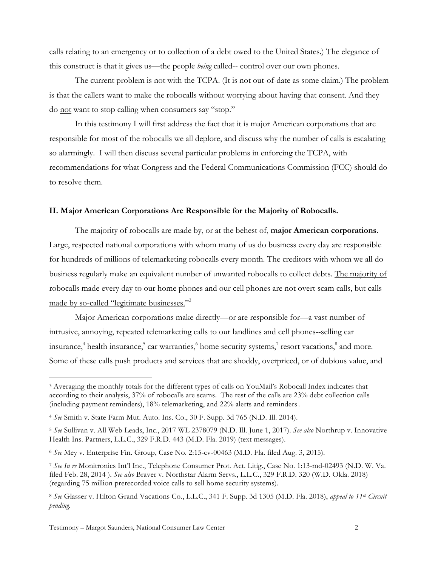calls relating to an emergency or to collection of a debt owed to the United States.) The elegance of this construct is that it gives us—the people *being* called-- control over our own phones.

The current problem is not with the TCPA. (It is not out-of-date as some claim.) The problem is that the callers want to make the robocalls without worrying about having that consent. And they do not want to stop calling when consumers say "stop."

In this testimony I will first address the fact that it is major American corporations that are responsible for most of the robocalls we all deplore, and discuss why the number of calls is escalating so alarmingly. I will then discuss several particular problems in enforcing the TCPA, with recommendations for what Congress and the Federal Communications Commission (FCC) should do to resolve them.

#### **II. Major American Corporations Are Responsible for the Majority of Robocalls.**

The majority of robocalls are made by, or at the behest of, **major American corporations**. Large, respected national corporations with whom many of us do business every day are responsible for hundreds of millions of telemarketing robocalls every month. The creditors with whom we all do business regularly make an equivalent number of unwanted robocalls to collect debts. The majority of robocalls made every day to our home phones and our cell phones are not overt scam calls, but calls made by so-called "legitimate businesses."<sup>3</sup>

Major American corporations make directly—or are responsible for—a vast number of intrusive, annoying, repeated telemarketing calls to our landlines and cell phones--selling car insurance,<sup>4</sup> health insurance,<sup>5</sup> car warranties,<sup>6</sup> home security systems,<sup>7</sup> resort vacations,<sup>8</sup> and more. Some of these calls push products and services that are shoddy, overpriced, or of dubious value, and

 <sup>3</sup> Averaging the monthly totals for the different types of calls on YouMail's Robocall Index indicates that according to their analysis, 37% of robocalls are scams. The rest of the calls are 23% debt collection calls (including payment reminders), 18% telemarketing, and 22% alerts and reminders.

<sup>4</sup> *See* Smith v. State Farm Mut. Auto. Ins. Co., 30 F. Supp. 3d 765 (N.D. Ill. 2014).

<sup>5</sup> *See* Sullivan v. All Web Leads, Inc., 2017 WL 2378079 (N.D. Ill. June 1, 2017). *See also* Northrup v. Innovative Health Ins. Partners, L.L.C., 329 F.R.D. 443 (M.D. Fla. 2019) (text messages).

<sup>6</sup> *See* Mey v. Enterprise Fin. Group, Case No. 2:15-cv-00463 (M.D. Fla. filed Aug. 3, 2015).

<sup>7</sup> *See In re* Monitronics Int'l Inc., Telephone Consumer Prot. Act. Litig., Case No. 1:13-md-02493 (N.D. W. Va. filed Feb. 28, 2014 ). *See also* Braver v. Northstar Alarm Servs., L.L.C., 329 F.R.D. 320 (W.D. Okla. 2018) (regarding 75 million prerecorded voice calls to sell home security systems).

<sup>8</sup> *See* Glasser v. Hilton Grand Vacations Co., L.L.C., 341 F. Supp. 3d 1305 (M.D. Fla. 2018), *appeal to 11th Circuit pending.*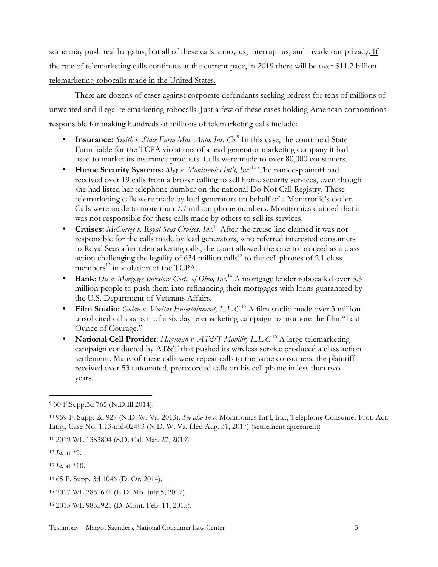some may push real bargains, but all of these calls annoy us, interrupt us, and invade our privacy. If the rate of telemarketing calls continues at the current pace, in 2019 there will be over \$11.2 billion telemarketing robocalls made in the United States.

There are dozens of cases against corporate defendants seeking redress for tens of millions of unwanted and illegal telemarketing robocalls. Just a few of these cases holding American corporations responsible for making hundreds of millions of telemarketing calls include:

- **Insurance:** *Smith v. State Farm Mut. Auto. Ins. Co.*<sup>9</sup> In this case, the court held State Farm liable for the TCPA violations of a lead-generator marketing company it had used to market its insurance products. Calls were made to over 80,000 consumers.
- **Home Security Systems:** *Mey v. Monitronics Int'l, Inc*. <sup>10</sup> The named-plaintiff had received over 19 calls from a broker calling to sell home security services, even though she had listed her telephone number on the national Do Not Call Registry. These telemarketing calls were made by lead generators on behalf of a Monitronic's dealer. Calls were made to more than 7.7 million phone numbers. Monitronics claimed that it was not responsible for these calls made by others to sell its services.
- **Cruises:** *McCurley v. Royal Seas Cruises, Inc*. <sup>11</sup> After the cruise line claimed it was not responsible for the calls made by lead generators, who referred interested consumers to Royal Seas after telemarketing calls, the court allowed the case to proceed as a class action challenging the legality of  $634$  million calls<sup>12</sup> to the cell phones of 2.1 class members<sup>13</sup> in violation of the TCPA.
- **Bank**: *Ott v. Mortgage Investors Corp. of Ohio, Inc.*<sup>14</sup> A mortgage lender robocalled over 3.5 million people to push them into refinancing their mortgages with loans guaranteed by the U.S. Department of Veterans Affairs.
- **Film Studio:** *Golan v. Veritas Entertainment, L.L.C*. <sup>15</sup> A film studio made over 3 million unsolicited calls as part of a six day telemarketing campaign to promote the film "Last Ounce of Courage."
- **National Cell Provider**: *Hageman v. AT&T Mobility L.L.C.*<sup>16</sup> A large telemarketing campaign conducted by AT&T that pushed its wireless service produced a class action settlement. Many of these calls were repeat calls to the same consumers: the plaintiff received over 53 automated, prerecorded calls on his cell phone in less than two years.

 <sup>9</sup> 30 F.Supp.3d 765 (N.D.Ill.2014).

<sup>10</sup> 959 F. Supp. 2d 927 (N.D. W. Va. 2013). *See also In re* Monitronics Int'l, Inc., Telephone Consumer Prot. Act. Litig., Case No. 1:13-md-02493 (N.D. W. Va. filed Aug. 31, 2017) (settlement agreement)

<sup>11</sup> 2019 WL 1383804 (S.D. Cal. Mar. 27, 2019).

<sup>12</sup> *Id.* at \*9.

<sup>13</sup> *Id*. at \*10.

<sup>14</sup> 65 F. Supp. 3d 1046 (D. Or. 2014).

<sup>15</sup> 2017 WL 2861671 (E.D. Mo. July 5, 2017).

<sup>16</sup> 2015 WL 9855925 (D. Mont. Feb. 11, 2015).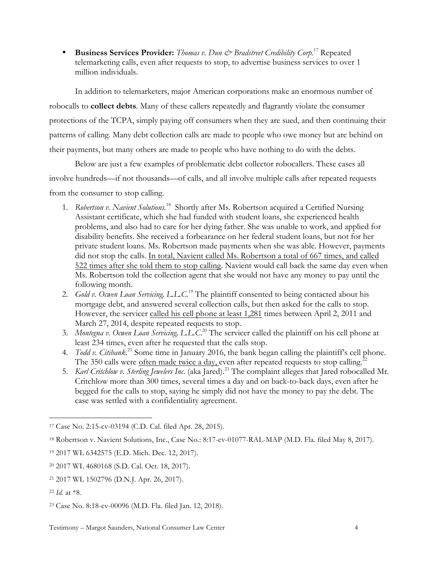• **Business Services Provider:** *Thomas v. Dun & Bradstreet Credibility Corp.*<sup>17</sup> Repeated telemarketing calls, even after requests to stop, to advertise business services to over 1 million individuals.

In addition to telemarketers, major American corporations make an enormous number of robocalls to **collect debts**. Many of these callers repeatedly and flagrantly violate the consumer protections of the TCPA, simply paying off consumers when they are sued, and then continuing their patterns of calling. Many debt collection calls are made to people who owe money but are behind on their payments, but many others are made to people who have nothing to do with the debts.

Below are just a few examples of problematic debt collector robocallers. These cases all involve hundreds—if not thousands—of calls, and all involve multiple calls after repeated requests from the consumer to stop calling.

- 1. *Robertson v. Navient Solutions.*<sup>18</sup> Shortly after Ms. Robertson acquired a Certified Nursing Assistant certificate, which she had funded with student loans, she experienced health problems, and also had to care for her dying father. She was unable to work, and applied for disability benefits. She received a forbearance on her federal student loans, but not for her private student loans. Ms. Robertson made payments when she was able. However, payments did not stop the calls. In total, Navient called Ms. Robertson a total of 667 times, and called 522 times after she told them to stop calling. Navient would call back the same day even when Ms. Robertson told the collection agent that she would not have any money to pay until the following month.
- 2. *Gold v. Ocwen Loan Servicing, L.L.C. <sup>19</sup>* The plaintiff consented to being contacted about his mortgage debt, and answered several collection calls, but then asked for the calls to stop. However, the servicer called his cell phone at least 1,281 times between April 2, 2011 and March 27, 2014, despite repeated requests to stop.
- 3. *Montegna v. Ocwen Loan Servicing, L.L.C*. <sup>20</sup> The servicer called the plaintiff on his cell phone at least 234 times, even after he requested that the calls stop.
- 4. *Todd v. Citibank*.<sup>21</sup> Some time in January 2016, the bank began calling the plaintiff's cell phone. The 350 calls were often made twice a day, even after repeated requests to stop calling.<sup>22</sup>
- 5. *Karl Critchlow v. Sterling Jewelers Inc*. (aka Jared).23 The complaint alleges that Jared robocalled Mr. Critchlow more than 300 times, several times a day and on back-to-back days, even after he begged for the calls to stop, saying he simply did not have the money to pay the debt. The case was settled with a confidentiality agreement.

 <sup>17</sup> Case No. 2:15-cv-03194 (C.D. Cal. filed Apr. 28, 2015).

<sup>18</sup> Robertson v. Navient Solutions, Inc., Case No.: 8:17-cv-01077-RAL-MAP (M.D. Fla. filed May 8, 2017).

<sup>19</sup> 2017 WL 6342575 (E.D. Mich. Dec. 12, 2017).

<sup>20</sup> 2017 WL 4680168 (S.D. Cal. Oct. 18, 2017).

<sup>21</sup> 2017 WL 1502796 (D.N.J. Apr. 26, 2017).

<sup>22</sup> *Id.* at \*8.

<sup>23</sup> Case No. 8:18-cv-00096 (M.D. Fla. filed Jan. 12, 2018).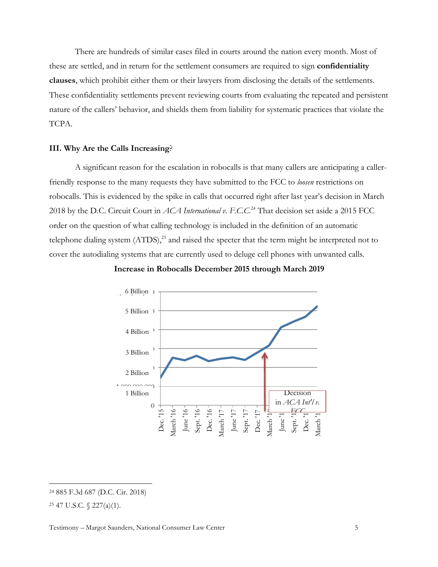There are hundreds of similar cases filed in courts around the nation every month. Most of these are settled, and in return for the settlement consumers are required to sign **confidentiality clauses**, which prohibit either them or their lawyers from disclosing the details of the settlements. These confidentiality settlements prevent reviewing courts from evaluating the repeated and persistent nature of the callers' behavior, and shields them from liability for systematic practices that violate the TCPA.

#### **III. Why Are the Calls Increasing**?

A significant reason for the escalation in robocalls is that many callers are anticipating a callerfriendly response to the many requests they have submitted to the FCC to *loosen* restrictions on robocalls. This is evidenced by the spike in calls that occurred right after last year's decision in March 2018 by the D.C. Circuit Court in *ACA International v. F.C.C.*<sup>24</sup> That decision set aside a 2015 FCC order on the question of what calling technology is included in the definition of an automatic telephone dialing system  $(ATDS)$ ,<sup>25</sup> and raised the specter that the term might be interpreted not to cover the autodialing systems that are currently used to deluge cell phones with unwanted calls.



**Increase in Robocalls December 2015 through March 2019**

 <sup>24</sup> 885 F.3d 687 (D.C. Cir. 2018)

<sup>25</sup> 47 U.S.C. § 227(a)(1).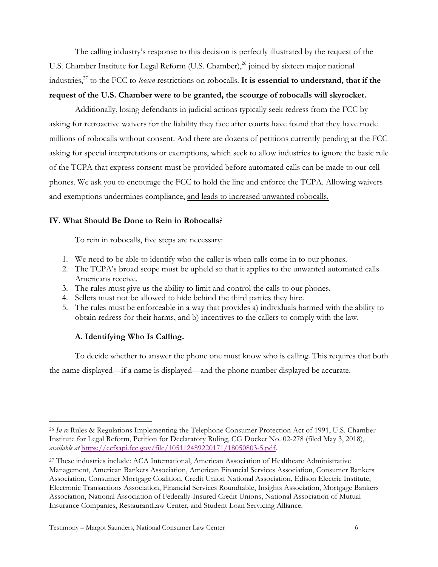The calling industry's response to this decision is perfectly illustrated by the request of the U.S. Chamber Institute for Legal Reform (U.S. Chamber),<sup>26</sup> joined by sixteen major national industries,<sup>27</sup> to the FCC to *loosen* restrictions on robocalls. **It is essential to understand, that if the request of the U.S. Chamber were to be granted, the scourge of robocalls will skyrocket.** 

Additionally, losing defendants in judicial actions typically seek redress from the FCC by asking for retroactive waivers for the liability they face after courts have found that they have made millions of robocalls without consent. And there are dozens of petitions currently pending at the FCC asking for special interpretations or exemptions, which seek to allow industries to ignore the basic rule of the TCPA that express consent must be provided before automated calls can be made to our cell phones. We ask you to encourage the FCC to hold the line and enforce the TCPA. Allowing waivers and exemptions undermines compliance, and leads to increased unwanted robocalls.

### **IV. What Should Be Done to Rein in Robocalls**?

To rein in robocalls, five steps are necessary:

- 1. We need to be able to identify who the caller is when calls come in to our phones.
- 2. The TCPA's broad scope must be upheld so that it applies to the unwanted automated calls Americans receive.
- 3. The rules must give us the ability to limit and control the calls to our phones.
- 4. Sellers must not be allowed to hide behind the third parties they hire.
- 5. The rules must be enforceable in a way that provides a) individuals harmed with the ability to obtain redress for their harms, and b) incentives to the callers to comply with the law.

## **A. Identifying Who Is Calling.**

To decide whether to answer the phone one must know who is calling. This requires that both the name displayed—if a name is displayed—and the phone number displayed be accurate.

 <sup>26</sup> *In re* Rules & Regulations Implementing the Telephone Consumer Protection Act of 1991, U.S. Chamber Institute for Legal Reform, Petition for Declaratory Ruling, CG Docket No. 02-278 (filed May 3, 2018), *available at* https://ecfsapi.fcc.gov/file/105112489220171/18050803-5.pdf.

<sup>27</sup> These industries include: ACA International, American Association of Healthcare Administrative Management, American Bankers Association, American Financial Services Association, Consumer Bankers Association, Consumer Mortgage Coalition, Credit Union National Association, Edison Electric Institute, Electronic Transactions Association, Financial Services Roundtable, Insights Association, Mortgage Bankers Association, National Association of Federally-Insured Credit Unions, National Association of Mutual Insurance Companies, RestaurantLaw Center, and Student Loan Servicing Alliance.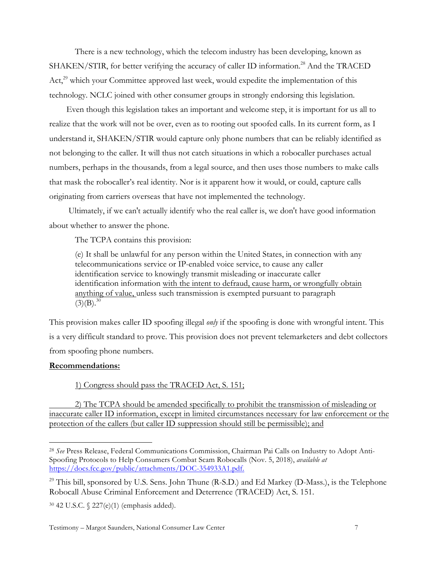There is a new technology, which the telecom industry has been developing, known as SHAKEN/STIR, for better verifying the accuracy of caller ID information.<sup>28</sup> And the TRACED  $Act<sub>1</sub><sup>29</sup>$  which your Committee approved last week, would expedite the implementation of this technology. NCLC joined with other consumer groups in strongly endorsing this legislation.

Even though this legislation takes an important and welcome step, it is important for us all to realize that the work will not be over, even as to rooting out spoofed calls. In its current form, as I understand it, SHAKEN/STIR would capture only phone numbers that can be reliably identified as not belonging to the caller. It will thus not catch situations in which a robocaller purchases actual numbers, perhaps in the thousands, from a legal source, and then uses those numbers to make calls that mask the robocaller's real identity. Nor is it apparent how it would, or could, capture calls originating from carriers overseas that have not implemented the technology.

Ultimately, if we can't actually identify who the real caller is, we don't have good information about whether to answer the phone.

The TCPA contains this provision:

(e) It shall be unlawful for any person within the United States, in connection with any telecommunications service or IP-enabled voice service, to cause any caller identification service to knowingly transmit misleading or inaccurate caller identification information with the intent to defraud, cause harm, or wrongfully obtain anything of value, unless such transmission is exempted pursuant to paragraph  $(3)(B).^{30}$ 

This provision makes caller ID spoofing illegal *only* if the spoofing is done with wrongful intent. This is a very difficult standard to prove. This provision does not prevent telemarketers and debt collectors from spoofing phone numbers.

#### **Recommendations:**

## 1) Congress should pass the TRACED Act, S. 151;

2) The TCPA should be amended specifically to prohibit the transmission of misleading or inaccurate caller ID information, except in limited circumstances necessary for law enforcement or the protection of the callers (but caller ID suppression should still be permissible); and

 <sup>28</sup> *See* Press Release, Federal Communications Commission, Chairman Pai Calls on Industry to Adopt Anti-Spoofing Protocols to Help Consumers Combat Scam Robocalls (Nov. 5, 2018), *available at* https://docs.fcc.gov/public/attachments/DOC-354933A1.pdf.

<sup>&</sup>lt;sup>29</sup> This bill, sponsored by U.S. Sens. John Thune (R-S.D.) and Ed Markey (D-Mass.), is the Telephone Robocall Abuse Criminal Enforcement and Deterrence (TRACED) Act, S. 151.

<sup>30</sup> 42 U.S.C. § 227(e)(1) (emphasis added).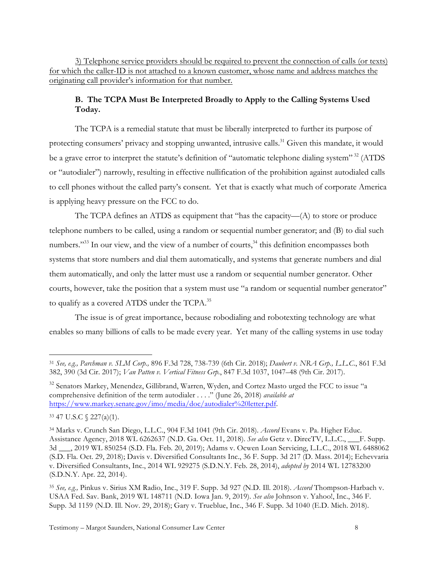3) Telephone service providers should be required to prevent the connection of calls (or texts) for which the caller-ID is not attached to a known customer, whose name and address matches the originating call provider's information for that number.

## **B. The TCPA Must Be Interpreted Broadly to Apply to the Calling Systems Used Today.**

The TCPA is a remedial statute that must be liberally interpreted to further its purpose of protecting consumers' privacy and stopping unwanted, intrusive calls.<sup>31</sup> Given this mandate, it would be a grave error to interpret the statute's definition of "automatic telephone dialing system"<sup>32</sup> (ATDS or "autodialer") narrowly, resulting in effective nullification of the prohibition against autodialed calls to cell phones without the called party's consent. Yet that is exactly what much of corporate America is applying heavy pressure on the FCC to do.

The TCPA defines an ATDS as equipment that "has the capacity—(A) to store or produce telephone numbers to be called, using a random or sequential number generator; and (B) to dial such numbers."<sup>33</sup> In our view, and the view of a number of courts,  $34$  this definition encompasses both systems that store numbers and dial them automatically, and systems that generate numbers and dial them automatically, and only the latter must use a random or sequential number generator. Other courts, however, take the position that a system must use "a random or sequential number generator" to qualify as a covered ATDS under the TCPA.<sup>35</sup>

The issue is of great importance, because robodialing and robotexting technology are what enables so many billions of calls to be made every year. Yet many of the calling systems in use today

 <sup>31</sup> *See, e.g., Parchman v. SLM Corp.,* 896 F.3d 728, 738-739 (6th Cir. 2018); *Daubert v. NRA Grp., L.L.C*., 861 F.3d 382, 390 (3d Cir. 2017); *Van Patten v. Vertical Fitness Grp.*, 847 F.3d 1037, 1047–48 (9th Cir. 2017).

<sup>&</sup>lt;sup>32</sup> Senators Markey, Menendez, Gillibrand, Warren, Wyden, and Cortez Masto urged the FCC to issue "a comprehensive definition of the term autodialer . . . ." (June 26, 2018) *available at* https://www.markey.senate.gov/imo/media/doc/autodialer%20letter.pdf.

<sup>33</sup> 47 U.S.C § 227(a)(1).

<sup>34</sup> Marks v. Crunch San Diego, L.L.C., 904 F.3d 1041 (9th Cir. 2018). *Accord* Evans v. Pa. Higher Educ. Assistance Agency, 2018 WL 6262637 (N.D. Ga. Oct. 11, 2018). *See also* Getz v. DirecTV, L.L.C., \_\_\_F. Supp. 3d \_\_\_, 2019 WL 850254 (S.D. Fla. Feb. 20, 2019); Adams v. Ocwen Loan Servicing, L.L.C., 2018 WL 6488062 (S.D. Fla. Oct. 29, 2018); Davis v. Diversified Consultants Inc., 36 F. Supp. 3d 217 (D. Mass. 2014); Echevvaria v. Diversified Consultants, Inc., 2014 WL 929275 (S.D.N.Y. Feb. 28, 2014), *adopted by* 2014 WL 12783200 (S.D.N.Y. Apr. 22, 2014).

<sup>35</sup> *See, e.g.,* Pinkus v. Sirius XM Radio, Inc., 319 F. Supp. 3d 927 (N.D. Ill. 2018). *Accord* Thompson-Harbach v. USAA Fed. Sav. Bank, 2019 WL 148711 (N.D. Iowa Jan. 9, 2019). *See also* Johnson v. Yahoo!, Inc., 346 F. Supp. 3d 1159 (N.D. Ill. Nov. 29, 2018); Gary v. Trueblue, Inc., 346 F. Supp. 3d 1040 (E.D. Mich. 2018).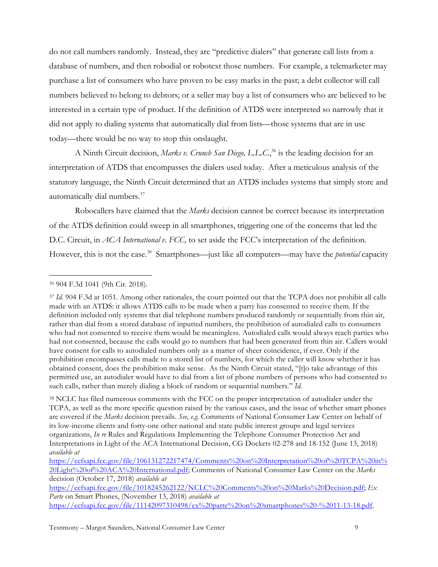do not call numbers randomly. Instead, they are "predictive dialers" that generate call lists from a database of numbers, and then robodial or robotext those numbers. For example, a telemarketer may purchase a list of consumers who have proven to be easy marks in the past; a debt collector will call numbers believed to belong to debtors; or a seller may buy a list of consumers who are believed to be interested in a certain type of product. If the definition of ATDS were interpreted so narrowly that it did not apply to dialing systems that automatically dial from lists—those systems that are in use today—there would be no way to stop this onslaught.

A Ninth Circuit decision, *Marks v. Crunch San Diego, L.L.C.*, <sup>36</sup> is the leading decision for an interpretation of ATDS that encompasses the dialers used today. After a meticulous analysis of the statutory language, the Ninth Circuit determined that an ATDS includes systems that simply store and automatically dial numbers.<sup>37</sup>

Robocallers have claimed that the *Marks* decision cannot be correct because its interpretation of the ATDS definition could sweep in all smartphones, triggering one of the concerns that led the D.C. Circuit, in *ACA International v. FCC,* to set aside the FCC's interpretation of the definition. However, this is not the case.<sup>38</sup> Smartphones—just like all computers—may have the *potential* capacity

<sup>38</sup> NCLC has filed numerous comments with the FCC on the proper interpretation of autodialer under the TCPA, as well as the more specific question raised by the various cases, and the issue of whether smart phones are covered if the *Marks* decision prevails. *See, e.g.* Comments of National Consumer Law Center on behalf of its low-income clients and forty-one other national and state public interest groups and legal services organizations, *In re* Rules and Regulations Implementing the Telephone Consumer Protection Act and Interpretations in Light of the ACA International Decision, CG Dockets 02-278 and 18-152 (June 13, 2018) *available at*

https://ecfsapi.fcc.gov/file/1018245262122/NCLC%20Comments%20on%20Marks%20Decision.pdf; *Ex Parte* on Smart Phones, (November 13, 2018) *available at* https://ecfsapi.fcc.gov/file/11142097310498/ex%20parte%20on%20smartphones%20-%2011-13-18.pdf.

 <sup>36</sup> 904 F.3d 1041 (9th Cir. 2018).

<sup>37</sup> *Id.* 904 F.3d at 1051. Among other rationales, the court pointed out that the TCPA does not prohibit all calls made with an ATDS: it allows ATDS calls to be made when a party has consented to receive them. If the definition included only systems that dial telephone numbers produced randomly or sequentially from thin air, rather than dial from a stored database of inputted numbers, the prohibition of autodialed calls to consumers who had not consented to receive them would be meaningless. Autodialed calls would always reach parties who had not consented, because the calls would go to numbers that had been generated from thin air. Callers would have consent for calls to autodialed numbers only as a matter of sheer coincidence, if ever. Only if the prohibition encompasses calls made to a stored list of numbers, for which the caller will know whether it has obtained consent, does the prohibition make sense. As the Ninth Circuit stated, "[t]o take advantage of this permitted use, an autodialer would have to dial from a list of phone numbers of persons who had consented to such calls, rather than merely dialing a block of random or sequential numbers." *Id.*

https://ecfsapi.fcc.gov/file/106131272217474/Comments%20on%20Interpretation%20of%20TCPA%20in% 20Light%20of%20ACA%20International.pdf; Comments of National Consumer Law Center on the *Marks* decision (October 17, 2018) *available at*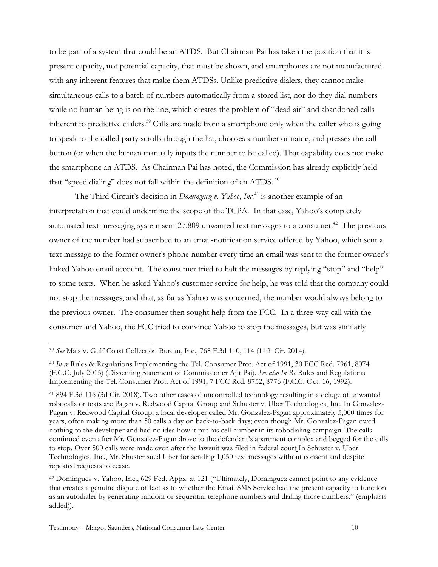to be part of a system that could be an ATDS. But Chairman Pai has taken the position that it is present capacity, not potential capacity, that must be shown, and smartphones are not manufactured with any inherent features that make them ATDSs. Unlike predictive dialers, they cannot make simultaneous calls to a batch of numbers automatically from a stored list, nor do they dial numbers while no human being is on the line, which creates the problem of "dead air" and abandoned calls inherent to predictive dialers.<sup>39</sup> Calls are made from a smartphone only when the caller who is going to speak to the called party scrolls through the list, chooses a number or name, and presses the call button (or when the human manually inputs the number to be called). That capability does not make the smartphone an ATDS. As Chairman Pai has noted, the Commission has already explicitly held that "speed dialing" does not fall within the definition of an ATDS.<sup>40</sup>

The Third Circuit's decision in *Dominguez v. Yahoo, Inc.*<sup>41</sup> is another example of an interpretation that could undermine the scope of the TCPA. In that case, Yahoo's completely automated text messaging system sent  $27,809$  unwanted text messages to a consumer.<sup>42</sup> The previous owner of the number had subscribed to an email-notification service offered by Yahoo, which sent a text message to the former owner's phone number every time an email was sent to the former owner's linked Yahoo email account. The consumer tried to halt the messages by replying "stop" and "help" to some texts. When he asked Yahoo's customer service for help, he was told that the company could not stop the messages, and that, as far as Yahoo was concerned, the number would always belong to the previous owner. The consumer then sought help from the FCC. In a three-way call with the consumer and Yahoo, the FCC tried to convince Yahoo to stop the messages, but was similarly

 <sup>39</sup> *See* Mais v. Gulf Coast Collection Bureau, Inc., 768 F.3d 110, 114 (11th Cir. 2014).

<sup>40</sup> *In re* Rules & Regulations Implementing the Tel. Consumer Prot. Act of 1991, 30 FCC Rcd. 7961, 8074 (F.C.C. July 2015) (Dissenting Statement of Commissioner Ajit Pai). *See also In Re* Rules and Regulations Implementing the Tel. Consumer Prot. Act of 1991, 7 FCC Rcd. 8752, 8776 (F.C.C. Oct. 16, 1992).

<sup>41</sup> 894 F.3d 116 (3d Cir. 2018). Two other cases of uncontrolled technology resulting in a deluge of unwanted robocalls or texts are Pagan v. Redwood Capital Group and Schuster v. Uber Technologies, Inc. In Gonzalez-Pagan v. Redwood Capital Group, a local developer called Mr. Gonzalez-Pagan approximately 5,000 times for years, often making more than 50 calls a day on back-to-back days; even though Mr. Gonzalez-Pagan owed nothing to the developer and had no idea how it put his cell number in its robodialing campaign. The calls continued even after Mr. Gonzalez-Pagan drove to the defendant's apartment complex and begged for the calls to stop. Over 500 calls were made even after the lawsuit was filed in federal court In Schuster v. Uber Technologies, Inc., Mr. Shuster sued Uber for sending 1,050 text messages without consent and despite repeated requests to cease.

<sup>42</sup> Dominguez v. Yahoo, Inc., 629 Fed. Appx. at 121 ("Ultimately, Dominguez cannot point to any evidence that creates a genuine dispute of fact as to whether the Email SMS Service had the present capacity to function as an autodialer by generating random or sequential telephone numbers and dialing those numbers." (emphasis added)).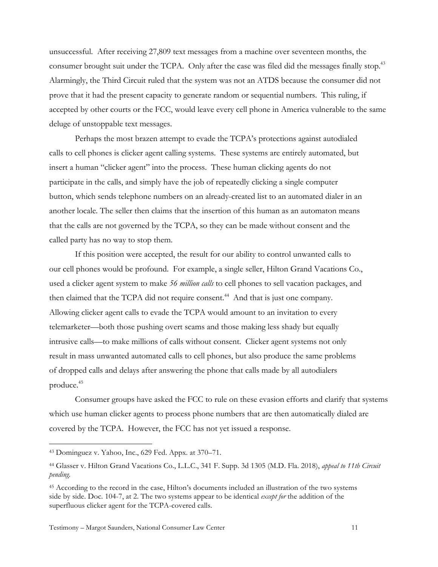unsuccessful. After receiving 27,809 text messages from a machine over seventeen months, the consumer brought suit under the TCPA. Only after the case was filed did the messages finally stop.<sup>43</sup> Alarmingly, the Third Circuit ruled that the system was not an ATDS because the consumer did not prove that it had the present capacity to generate random or sequential numbers. This ruling, if accepted by other courts or the FCC, would leave every cell phone in America vulnerable to the same deluge of unstoppable text messages.

Perhaps the most brazen attempt to evade the TCPA's protections against autodialed calls to cell phones is clicker agent calling systems. These systems are entirely automated, but insert a human "clicker agent" into the process. These human clicking agents do not participate in the calls, and simply have the job of repeatedly clicking a single computer button, which sends telephone numbers on an already-created list to an automated dialer in an another locale. The seller then claims that the insertion of this human as an automaton means that the calls are not governed by the TCPA, so they can be made without consent and the called party has no way to stop them.

If this position were accepted, the result for our ability to control unwanted calls to our cell phones would be profound. For example, a single seller, Hilton Grand Vacations Co., used a clicker agent system to make *56 million calls* to cell phones to sell vacation packages, and then claimed that the TCPA did not require consent.<sup>44</sup> And that is just one company. Allowing clicker agent calls to evade the TCPA would amount to an invitation to every telemarketer—both those pushing overt scams and those making less shady but equally intrusive calls—to make millions of calls without consent. Clicker agent systems not only result in mass unwanted automated calls to cell phones, but also produce the same problems of dropped calls and delays after answering the phone that calls made by all autodialers produce.45

Consumer groups have asked the FCC to rule on these evasion efforts and clarify that systems which use human clicker agents to process phone numbers that are then automatically dialed are covered by the TCPA. However, the FCC has not yet issued a response.

 <sup>43</sup> Dominguez v. Yahoo, Inc., 629 Fed. Appx. at 370–71.

<sup>44</sup> Glasser v. Hilton Grand Vacations Co., L.L.C., 341 F. Supp. 3d 1305 (M.D. Fla. 2018), *appeal to 11th Circuit pending.*

<sup>45</sup> According to the record in the case, Hilton's documents included an illustration of the two systems side by side. Doc. 104-7, at 2. The two systems appear to be identical *except for* the addition of the superfluous clicker agent for the TCPA-covered calls.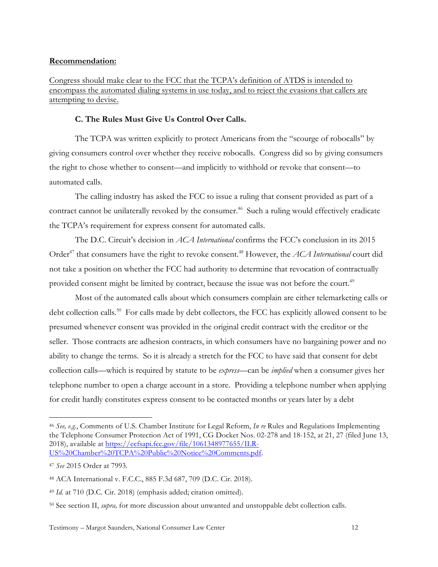#### **Recommendation:**

Congress should make clear to the FCC that the TCPA's definition of ATDS is intended to encompass the automated dialing systems in use today, and to reject the evasions that callers are attempting to devise.

### **C. The Rules Must Give Us Control Over Calls.**

The TCPA was written explicitly to protect Americans from the "scourge of robocalls" by giving consumers control over whether they receive robocalls. Congress did so by giving consumers the right to chose whether to consent—and implicitly to withhold or revoke that consent—to automated calls.

The calling industry has asked the FCC to issue a ruling that consent provided as part of a contract cannot be unilaterally revoked by the consumer.<sup>46</sup> Such a ruling would effectively eradicate the TCPA's requirement for express consent for automated calls.

The D.C. Circuit's decision in *ACA International* confirms the FCC's conclusion in its 2015 Order<sup>47</sup> that consumers have the right to revoke consent.<sup>48</sup> However, the *ACA International* court did not take a position on whether the FCC had authority to determine that revocation of contractually provided consent might be limited by contract, because the issue was not before the court.<sup>49</sup>

Most of the automated calls about which consumers complain are either telemarketing calls or debt collection calls.<sup>50</sup> For calls made by debt collectors, the FCC has explicitly allowed consent to be presumed whenever consent was provided in the original credit contract with the creditor or the seller. Those contracts are adhesion contracts, in which consumers have no bargaining power and no ability to change the terms. So it is already a stretch for the FCC to have said that consent for debt collection calls—which is required by statute to be *express*—can be *implied* when a consumer gives her telephone number to open a charge account in a store. Providing a telephone number when applying for credit hardly constitutes express consent to be contacted months or years later by a debt

 <sup>46</sup> *See, e.g.*, Comments of U.S. Chamber Institute for Legal Reform, *In re* Rules and Regulations Implementing the Telephone Consumer Protection Act of 1991, CG Docket Nos. 02-278 and 18-152, at 21, 27 (filed June 13, 2018), available at https://ecfsapi.fcc.gov/file/1061348977655/ILR-US%20Chamber%20TCPA%20Public%20Notice%20Comments.pdf.

<sup>47</sup> *See* 2015 Order at 7993.

<sup>48</sup> ACA International v. F.C.C., 885 F.3d 687, 709 (D.C. Cir. 2018).

<sup>49</sup> *Id.* at 710 (D.C. Cir. 2018) (emphasis added; citation omitted).

<sup>50</sup> See section II, *supra,* for more discussion about unwanted and unstoppable debt collection calls.

Testimony – Margot Saunders, National Consumer Law Center 12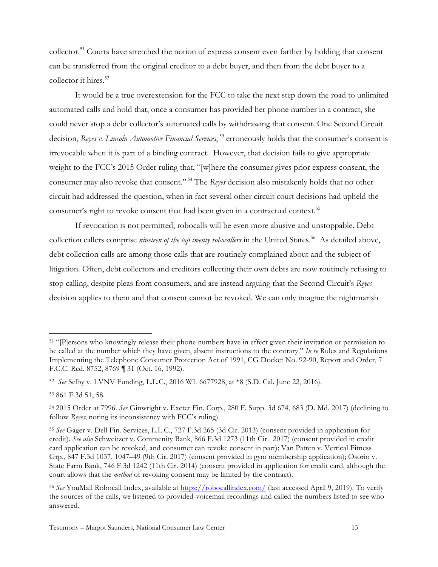collector.<sup>51</sup> Courts have stretched the notion of express consent even farther by holding that consent can be transferred from the original creditor to a debt buyer, and then from the debt buyer to a collector it hires. $52$ 

It would be a true overextension for the FCC to take the next step down the road to unlimited automated calls and hold that, once a consumer has provided her phone number in a contract, she could never stop a debt collector's automated calls by withdrawing that consent. One Second Circuit decision, *Reyes v. Lincoln Automotive Financial Services*, <sup>53</sup> erroneously holds that the consumer's consent is irrevocable when it is part of a binding contract. However, that decision fails to give appropriate weight to the FCC's 2015 Order ruling that, "[w]here the consumer gives prior express consent, the consumer may also revoke that consent." <sup>54</sup> The *Reyes* decision also mistakenly holds that no other circuit had addressed the question, when in fact several other circuit court decisions had upheld the consumer's right to revoke consent that had been given in a contractual context.<sup>55</sup>

If revocation is not permitted, robocalls will be even more abusive and unstoppable. Debt collection callers comprise *nineteen of the top twenty robocallers* in the United States.<sup>56</sup> As detailed above, debt collection calls are among those calls that are routinely complained about and the subject of litigation. Often, debt collectors and creditors collecting their own debts are now routinely refusing to stop calling, despite pleas from consumers, and are instead arguing that the Second Circuit's *Reyes*  decision applies to them and that consent cannot be revoked. We can only imagine the nightmarish

 <sup>51</sup> "[P]ersons who knowingly release their phone numbers have in effect given their invitation or permission to be called at the number which they have given, absent instructions to the contrary." *In re* Rules and Regulations Implementing the Telephone Consumer Protection Act of 1991, CG Docket No. 92-90, Report and Order, 7 F.C.C. Rcd. 8752, 8769 ¶ 31 (Oct. 16, 1992).

<sup>52</sup> *See* Selby v. LVNV Funding, L.L.C., 2016 WL 6677928, at \*8 (S.D. Cal. June 22, 2016).

<sup>53</sup> 861 F.3d 51, 58.

<sup>54</sup> 2015 Order at 7996. *See* Ginwright v. Exeter Fin. Corp., 280 F. Supp. 3d 674, 683 (D. Md. 2017) (declining to follow *Reyes*; noting its inconsistency with FCC's ruling).

<sup>55</sup> *See* Gager v. Dell Fin. Services, L.L.C., 727 F.3d 265 (3d Cir. 2013) (consent provided in application for credit). *See also* Schweitzer v. Commenity Bank, 866 F.3d 1273 (11th Cir. 2017) (consent provided in credit card application can be revoked, and consumer can revoke consent in part); Van Patten v. Vertical Fitness Grp., 847 F.3d 1037, 1047–49 (9th Cir. 2017) (consent provided in gym membership application); Osorio v. State Farm Bank, 746 F.3d 1242 (11th Cir. 2014) (consent provided in application for credit card, although the court allows that the *method* of revoking consent may be limited by the contract).

<sup>56</sup> *See* YouMail Robocall Index, available at https://robocallindex.com/ (last accessed April 9, 2019). To verify the sources of the calls, we listened to provided-voicemail recordings and called the numbers listed to see who answered.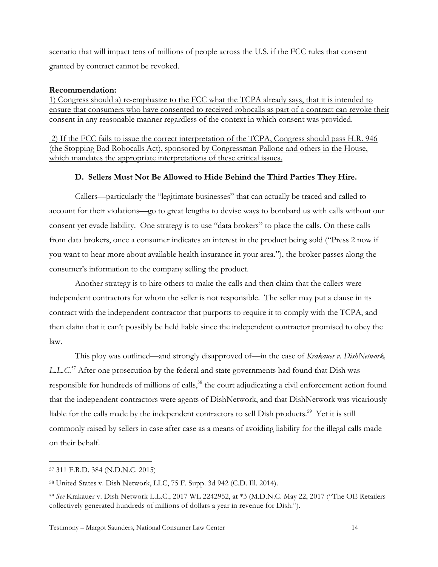scenario that will impact tens of millions of people across the U.S. if the FCC rules that consent granted by contract cannot be revoked.

#### **Recommendation:**

1) Congress should a) re-emphasize to the FCC what the TCPA already says, that it is intended to ensure that consumers who have consented to received robocalls as part of a contract can revoke their consent in any reasonable manner regardless of the context in which consent was provided.

2) If the FCC fails to issue the correct interpretation of the TCPA, Congress should pass H.R. 946 (the Stopping Bad Robocalls Act), sponsored by Congressman Pallone and others in the House, which mandates the appropriate interpretations of these critical issues.

## **D. Sellers Must Not Be Allowed to Hide Behind the Third Parties They Hire.**

Callers—particularly the "legitimate businesses" that can actually be traced and called to account for their violations—go to great lengths to devise ways to bombard us with calls without our consent yet evade liability. One strategy is to use "data brokers" to place the calls. On these calls from data brokers, once a consumer indicates an interest in the product being sold ("Press 2 now if you want to hear more about available health insurance in your area."), the broker passes along the consumer's information to the company selling the product.

Another strategy is to hire others to make the calls and then claim that the callers were independent contractors for whom the seller is not responsible. The seller may put a clause in its contract with the independent contractor that purports to require it to comply with the TCPA, and then claim that it can't possibly be held liable since the independent contractor promised to obey the law.

This ploy was outlined—and strongly disapproved of—in the case of *Krakauer v. DishNetwork, L.L.C*. <sup>57</sup> After one prosecution by the federal and state governments had found that Dish was responsible for hundreds of millions of calls,<sup>58</sup> the court adjudicating a civil enforcement action found that the independent contractors were agents of DishNetwork, and that DishNetwork was vicariously liable for the calls made by the independent contractors to sell Dish products.<sup>59</sup> Yet it is still commonly raised by sellers in case after case as a means of avoiding liability for the illegal calls made on their behalf.

 <sup>57</sup> 311 F.R.D. 384 (N.D.N.C. 2015)

<sup>58</sup> United States v. Dish Network, LLC, 75 F. Supp. 3d 942 (C.D. Ill. 2014).

<sup>59</sup> *See* Krakauer v. Dish Network L.L.C., 2017 WL 2242952, at \*3 (M.D.N.C. May 22, 2017 ("The OE Retailers collectively generated hundreds of millions of dollars a year in revenue for Dish.").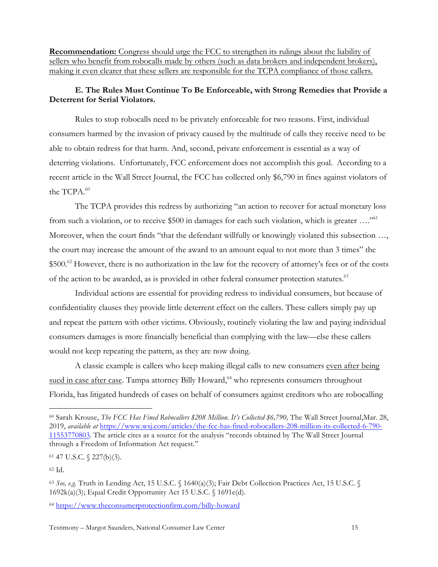**Recommendation:** Congress should urge the FCC to strengthen its rulings about the liability of sellers who benefit from robocalls made by others (such as data brokers and independent brokers), making it even clearer that these sellers are responsible for the TCPA compliance of those callers.

# **E. The Rules Must Continue To Be Enforceable, with Strong Remedies that Provide a Deterrent for Serial Violators.**

Rules to stop robocalls need to be privately enforceable for two reasons. First, individual consumers harmed by the invasion of privacy caused by the multitude of calls they receive need to be able to obtain redress for that harm. And, second, private enforcement is essential as a way of deterring violations. Unfortunately, FCC enforcement does not accomplish this goal. According to a recent article in the Wall Street Journal, the FCC has collected only \$6,790 in fines against violators of the TCPA.<sup>60</sup>

The TCPA provides this redress by authorizing "an action to recover for actual monetary loss from such a violation, or to receive \$500 in damages for each such violation, which is greater ...."<sup>61</sup> Moreover, when the court finds "that the defendant willfully or knowingly violated this subsection ..., the court may increase the amount of the award to an amount equal to not more than 3 times" the  $$500<sup>62</sup>$  However, there is no authorization in the law for the recovery of attorney's fees or of the costs of the action to be awarded, as is provided in other federal consumer protection statutes.<sup>63</sup>

Individual actions are essential for providing redress to individual consumers, but because of confidentiality clauses they provide little deterrent effect on the callers. These callers simply pay up and repeat the pattern with other victims. Obviously, routinely violating the law and paying individual consumers damages is more financially beneficial than complying with the law—else these callers would not keep repeating the pattern, as they are now doing.

A classic example is callers who keep making illegal calls to new consumers even after being sued in case after case. Tampa attorney Billy Howard,<sup>64</sup> who represents consumers throughout Florida, has litigated hundreds of cases on behalf of consumers against creditors who are robocalling

 <sup>60</sup> Sarah Krouse, *The FCC Has Fined Robocallers \$208 Million. It's Collected \$6,790,* The Wall Street Journal,Mar. 28, 2019, *available at* https://www.wsj.com/articles/the-fcc-has-fined-robocallers-208-million-its-collected-6-790- 11553770803. The article cites as a source for the analysis "records obtained by The Wall Street Journal through a Freedom of Information Act request."

<sup>61</sup> 47 U.S.C. § 227(b)(3).

<sup>62</sup> Id.

<sup>63</sup> *See, e.g.* Truth in Lending Act, 15 U.S.C. § 1640(a)(3); Fair Debt Collection Practices Act, 15 U.S.C. § 1692k(a)(3); Equal Credit Opportunity Act 15 U.S.C. § 1691e(d).

<sup>64</sup> https://www.theconsumerprotectionfirm.com/billy-howard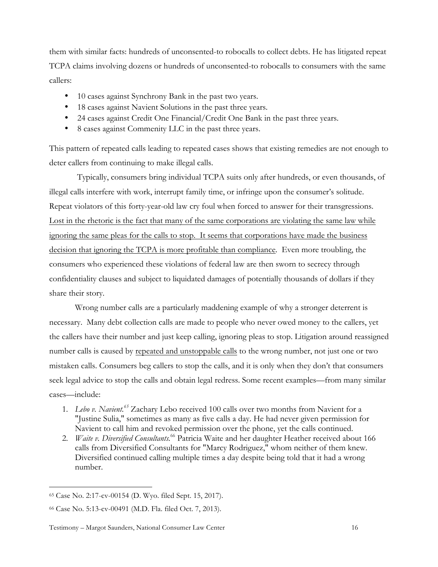them with similar facts: hundreds of unconsented-to robocalls to collect debts. He has litigated repeat TCPA claims involving dozens or hundreds of unconsented-to robocalls to consumers with the same callers:

- 10 cases against Synchrony Bank in the past two years.
- 18 cases against Navient Solutions in the past three years.
- 24 cases against Credit One Financial/Credit One Bank in the past three years.
- 8 cases against Commenity LLC in the past three years.

This pattern of repeated calls leading to repeated cases shows that existing remedies are not enough to deter callers from continuing to make illegal calls.

Typically, consumers bring individual TCPA suits only after hundreds, or even thousands, of illegal calls interfere with work, interrupt family time, or infringe upon the consumer's solitude. Repeat violators of this forty-year-old law cry foul when forced to answer for their transgressions. Lost in the rhetoric is the fact that many of the same corporations are violating the same law while ignoring the same pleas for the calls to stop. It seems that corporations have made the business decision that ignoring the TCPA is more profitable than compliance. Even more troubling, the consumers who experienced these violations of federal law are then sworn to secrecy through confidentiality clauses and subject to liquidated damages of potentially thousands of dollars if they share their story.

Wrong number calls are a particularly maddening example of why a stronger deterrent is necessary. Many debt collection calls are made to people who never owed money to the callers, yet the callers have their number and just keep calling, ignoring pleas to stop. Litigation around reassigned number calls is caused by repeated and unstoppable calls to the wrong number, not just one or two mistaken calls. Consumers beg callers to stop the calls, and it is only when they don't that consumers seek legal advice to stop the calls and obtain legal redress. Some recent examples—from many similar cases—include:

- 1. *Lebo v. Navient.65* Zachary Lebo received 100 calls over two months from Navient for a "Justine Sulia," sometimes as many as five calls a day. He had never given permission for Navient to call him and revoked permission over the phone, yet the calls continued.
- 2. *Waite v. Diversified Consultants.*<sup>66</sup> Patricia Waite and her daughter Heather received about 166 calls from Diversified Consultants for "Marcy Rodriguez," whom neither of them knew. Diversified continued calling multiple times a day despite being told that it had a wrong number.

 <sup>65</sup> Case No. 2:17-cv-00154 (D. Wyo. filed Sept. 15, 2017).

<sup>66</sup> Case No. 5:13-cv-00491 (M.D. Fla. filed Oct. 7, 2013).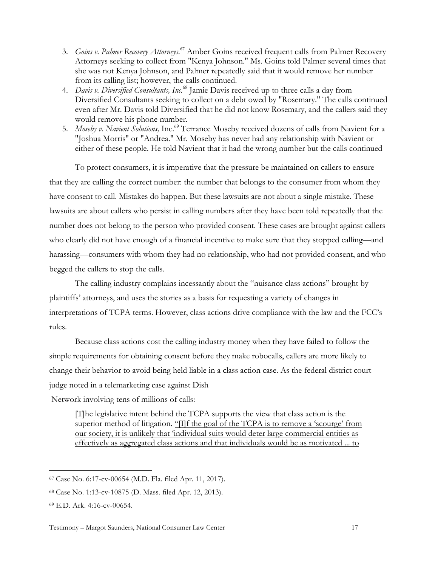- 3. Goins v. Palmer Recovery Attorneys.<sup>67</sup> Amber Goins received frequent calls from Palmer Recovery Attorneys seeking to collect from "Kenya Johnson." Ms. Goins told Palmer several times that she was not Kenya Johnson, and Palmer repeatedly said that it would remove her number from its calling list; however, the calls continued.
- 4. *Davis v. Diversified Consultants, Inc.*<sup>68</sup> Jamie Davis received up to three calls a day from Diversified Consultants seeking to collect on a debt owed by "Rosemary." The calls continued even after Mr. Davis told Diversified that he did not know Rosemary, and the callers said they would remove his phone number.
- 5. *Moseby v. Navient Solutions, Inc.*<sup>69</sup> Terrance Moseby received dozens of calls from Navient for a "Joshua Morris" or "Andrea." Mr. Moseby has never had any relationship with Navient or either of these people. He told Navient that it had the wrong number but the calls continued

To protect consumers, it is imperative that the pressure be maintained on callers to ensure that they are calling the correct number: the number that belongs to the consumer from whom they have consent to call. Mistakes do happen. But these lawsuits are not about a single mistake. These lawsuits are about callers who persist in calling numbers after they have been told repeatedly that the number does not belong to the person who provided consent. These cases are brought against callers who clearly did not have enough of a financial incentive to make sure that they stopped calling—and harassing—consumers with whom they had no relationship, who had not provided consent, and who begged the callers to stop the calls.

The calling industry complains incessantly about the "nuisance class actions" brought by plaintiffs' attorneys, and uses the stories as a basis for requesting a variety of changes in interpretations of TCPA terms. However, class actions drive compliance with the law and the FCC's rules.

Because class actions cost the calling industry money when they have failed to follow the simple requirements for obtaining consent before they make robocalls, callers are more likely to change their behavior to avoid being held liable in a class action case. As the federal district court judge noted in a telemarketing case against Dish

Network involving tens of millions of calls:

[T]he legislative intent behind the TCPA supports the view that class action is the superior method of litigation. "If the goal of the TCPA is to remove a 'scourge' from our society, it is unlikely that 'individual suits would deter large commercial entities as effectively as aggregated class actions and that individuals would be as motivated ... to

 <sup>67</sup> Case No. 6:17-cv-00654 (M.D. Fla. filed Apr. 11, 2017).

<sup>68</sup> Case No. 1:13-cv-10875 (D. Mass. filed Apr. 12, 2013).

<sup>69</sup> E.D. Ark. 4:16-cv-00654.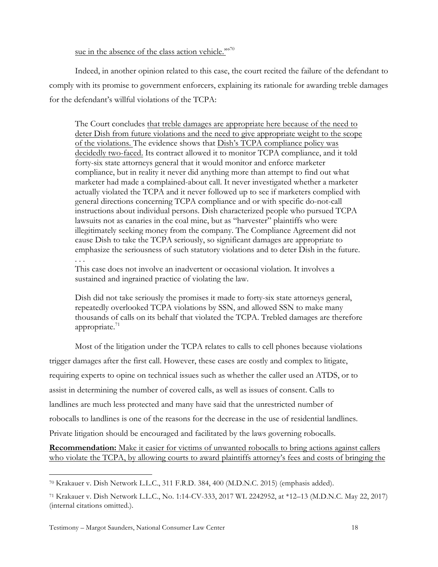### sue in the absence of the class action vehicle."<sup>70</sup>

Indeed, in another opinion related to this case, the court recited the failure of the defendant to comply with its promise to government enforcers, explaining its rationale for awarding treble damages for the defendant's willful violations of the TCPA:

The Court concludes that treble damages are appropriate here because of the need to deter Dish from future violations and the need to give appropriate weight to the scope of the violations. The evidence shows that Dish's TCPA compliance policy was decidedly two-faced. Its contract allowed it to monitor TCPA compliance, and it told forty-six state attorneys general that it would monitor and enforce marketer compliance, but in reality it never did anything more than attempt to find out what marketer had made a complained-about call. It never investigated whether a marketer actually violated the TCPA and it never followed up to see if marketers complied with general directions concerning TCPA compliance and or with specific do-not-call instructions about individual persons. Dish characterized people who pursued TCPA lawsuits not as canaries in the coal mine, but as "harvester" plaintiffs who were illegitimately seeking money from the company. The Compliance Agreement did not cause Dish to take the TCPA seriously, so significant damages are appropriate to emphasize the seriousness of such statutory violations and to deter Dish in the future. . . .

This case does not involve an inadvertent or occasional violation. It involves a sustained and ingrained practice of violating the law.

Dish did not take seriously the promises it made to forty-six state attorneys general, repeatedly overlooked TCPA violations by SSN, and allowed SSN to make many thousands of calls on its behalf that violated the TCPA. Trebled damages are therefore appropriate. $71$ 

Most of the litigation under the TCPA relates to calls to cell phones because violations

trigger damages after the first call. However, these cases are costly and complex to litigate, requiring experts to opine on technical issues such as whether the caller used an ATDS, or to assist in determining the number of covered calls, as well as issues of consent. Calls to landlines are much less protected and many have said that the unrestricted number of robocalls to landlines is one of the reasons for the decrease in the use of residential landlines. Private litigation should be encouraged and facilitated by the laws governing robocalls.

**Recommendation:** Make it easier for victims of unwanted robocalls to bring actions against callers who violate the TCPA, by allowing courts to award plaintiffs attorney's fees and costs of bringing the

 <sup>70</sup> Krakauer v. Dish Network L.L.C., 311 F.R.D. 384, 400 (M.D.N.C. 2015) (emphasis added).

<sup>71</sup> Krakauer v. Dish Network L.L.C., No. 1:14-CV-333, 2017 WL 2242952, at \*12–13 (M.D.N.C. May 22, 2017) (internal citations omitted.).